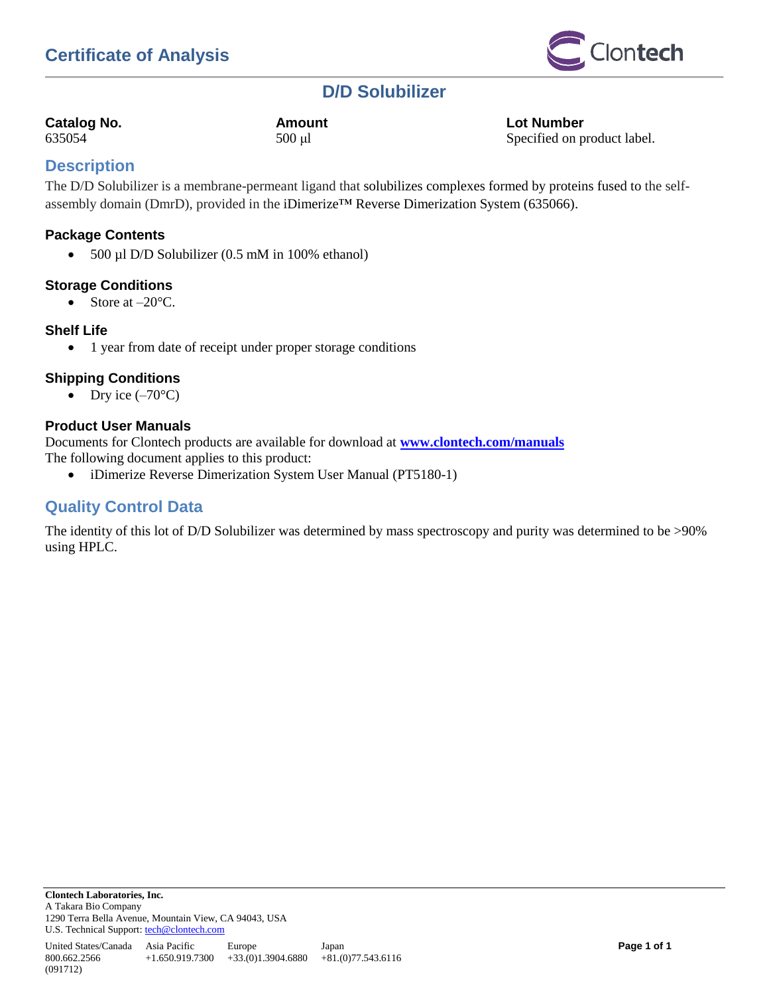

## **D/D Solubilizer**

| <b>Catalog No.</b> |  |
|--------------------|--|
|--------------------|--|

**Catalog No. Amount Lot Number** 635054 500 μl Specified on product label.

## **Description**

The D/D Solubilizer is a membrane-permeant ligand that solubilizes complexes formed by proteins fused to the selfassembly domain (DmrD), provided in the iDimerize™ Reverse Dimerization System (635066).

## **Package Contents**

 $\bullet$  500 µl D/D Solubilizer (0.5 mM in 100% ethanol)

## **Storage Conditions**

• Store at  $-20^{\circ}$ C.

## **Shelf Life**

800.662.2566

(091712)

• 1 year from date of receipt under proper storage conditions

## **Shipping Conditions**

• Dry ice  $(-70^{\circ}C)$ 

## **Product User Manuals**

Documents for Clontech products are available for download at **[www.clontech.com/manuals](http://www.clontech.com/manuals)** The following document applies to this product:

iDimerize Reverse Dimerization System User Manual (PT5180-1)

## **Quality Control Data**

The identity of this lot of D/D Solubilizer was determined by mass spectroscopy and purity was determined to be >90% using HPLC.

+1.650.919.7300 +33.(0)1.3904.6880 +81.(0)77.543.6116